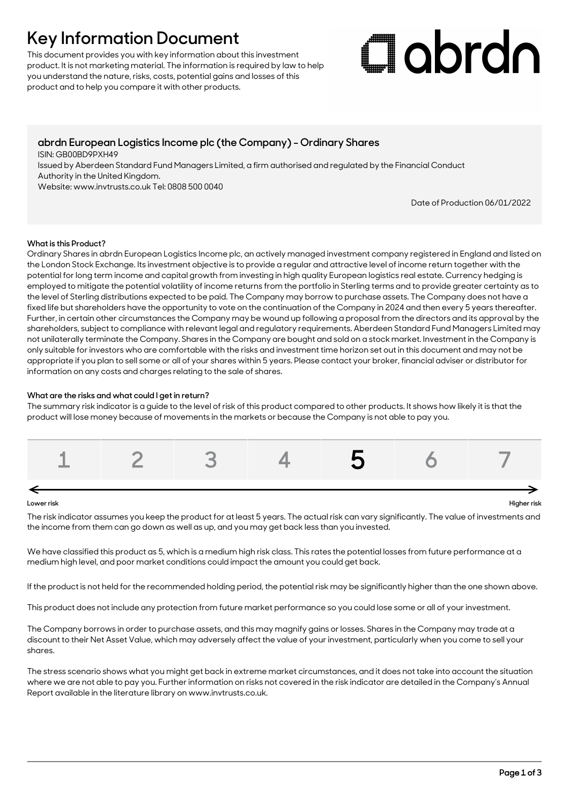## **Key Information Document**

This document provides you with key information about this investment product. It is not marketing material. The information is required by law to help you understand the nature, risks, costs, potential gains and losses of this product and to help you compare it with other products.

# Clobrdn

### **abrdn European Logistics Income plc (the Company) - Ordinary Shares**

ISIN: GB00BD9PXH49

Issued by Aberdeen Standard Fund Managers Limited, a firm authorised and regulated by the Financial Conduct Authority in the United Kingdom.

Website: www.invtrusts.co.uk Tel: 0808 500 0040

Date of Production 06/01/2022

#### **What is this Product?**

Ordinary Shares in abrdn European Logistics Income plc, an actively managed investment company registered in England and listed on the London Stock Exchange. Its investment objective is to provide a regular and attractive level of income return together with the potential for long term income and capital growth from investing in high quality European logistics real estate. Currency hedging is employed to mitigate the potential volatility of income returns from the portfolio in Sterling terms and to provide greater certainty as to the level of Sterling distributions expected to be paid. The Company may borrow to purchase assets. The Company does not have a fixed life but shareholders have the opportunity to vote on the continuation of the Company in 2024 and then every 5 years thereafter. Further, in certain other circumstances the Company may be wound up following a proposal from the directors and its approval by the shareholders, subject to compliance with relevant legal and regulatory requirements. Aberdeen Standard Fund Managers Limited may not unilaterally terminate the Company. Shares in the Company are bought and sold on a stock market. Investment in the Company is only suitable for investors who are comfortable with the risks and investment time horizon set out in this document and may not be appropriate if you plan to sell some or all of your shares within 5 years. Please contact your broker, financial adviser or distributor for information on any costs and charges relating to the sale of shares.

#### **What are the risks and what could I get in return?**

The summary risk indicator is a guide to the level of risk of this product compared to other products. It shows how likely it is that the product will lose money because of movements in the markets or because the Company is not able to pay you.



#### **Lower risk Higher risk**

The risk indicator assumes you keep the product for at least 5 years. The actual risk can vary significantly. The value of investments and the income from them can go down as well as up, and you may get back less than you invested.

We have classified this product as 5, which is a medium high risk class. This rates the potential losses from future performance at a medium high level, and poor market conditions could impact the amount you could get back.

If the product is not held for the recommended holding period, the potential risk may be significantly higher than the one shown above.

This product does not include any protection from future market performance so you could lose some or all of your investment.

The Company borrows in order to purchase assets, and this may magnify gains or losses. Shares in the Company may trade at a discount to their Net Asset Value, which may adversely affect the value of your investment, particularly when you come to sell your shares.

The stress scenario shows what you might get back in extreme market circumstances, and it does not take into account the situation where we are not able to pay you. Further information on risks not covered in the risk indicator are detailed in the Company's Annual Report available in the literature library on www.invtrusts.co.uk.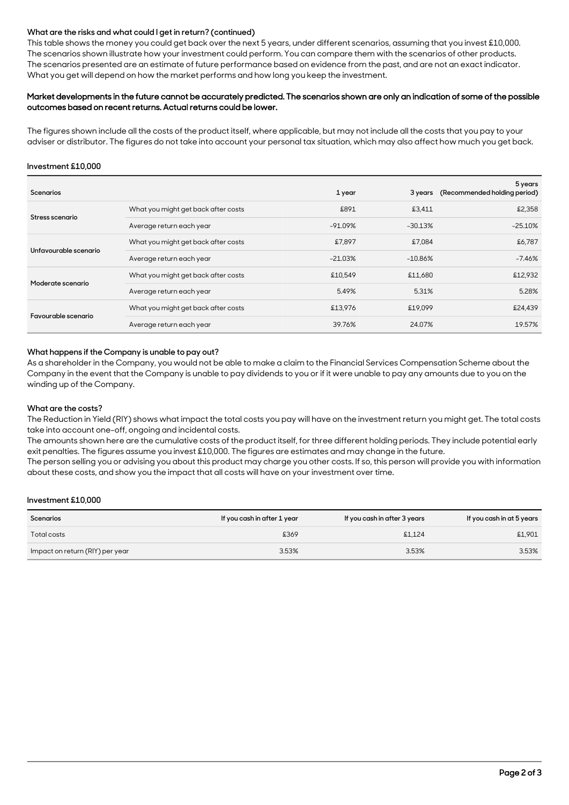#### **What are the risks and what could I get in return? (continued)**

This table shows the money you could get back over the next 5 years, under different scenarios, assuming that you invest £10,000. The scenarios shown illustrate how your investment could perform. You can compare them with the scenarios of other products. The scenarios presented are an estimate of future performance based on evidence from the past, and are not an exact indicator. What you get will depend on how the market performs and how long you keep the investment.

#### Market developments in the future cannot be accurately predicted. The scenarios shown are only an indication of some of the possible outcomes based on recent returns. Actual returns could be lower.

The figures shown include all the costs of the product itself, where applicable, but may not include all the costs that you pay to your adviser or distributor. The figures do not take into account your personal tax situation, which may also affect how much you get back.

#### **Investment £10,000**

| <b>Scenarios</b>      |                                     | 1 year    | 3 years   | 5 years<br>(Recommended holding period) |
|-----------------------|-------------------------------------|-----------|-----------|-----------------------------------------|
| Stress scenario       | What you might get back after costs | £891      | £3,411    | £2,358                                  |
|                       | Average return each year            | $-91.09%$ | $-30.13%$ | $-25.10%$                               |
| Unfavourable scenario | What you might get back after costs | £7,897    | £7.084    | £6,787                                  |
|                       | Average return each year            | $-21.03%$ | $-10.86%$ | -7.46%                                  |
| Moderate scenario     | What you might get back after costs | £10,549   | £11,680   | £12,932                                 |
|                       | Average return each year            | 5.49%     | 5.31%     | 5.28%                                   |
| Favourable scenario   | What you might get back after costs | £13,976   | £19,099   | £24,439                                 |
|                       | Average return each year            | 39.76%    | 24.07%    | 19.57%                                  |

#### **What happens if the Company is unable to pay out?**

As a shareholder in the Company, you would not be able to make a claim to the Financial Services Compensation Scheme about the Company in the event that the Company is unable to pay dividends to you or if it were unable to pay any amounts due to you on the winding up of the Company.

#### **What are the costs?**

The Reduction in Yield (RIY) shows what impact the total costs you pay will have on the investment return you might get. The total costs take into account one-off, ongoing and incidental costs.

The amounts shown here are the cumulative costs of the product itself, for three different holding periods. They include potential early exit penalties. The figures assume you invest £10,000. The figures are estimates and may change in the future.

The person selling you or advising you about this product may charge you other costs. If so, this person will provide you with information about these costs, and show you the impact that all costs will have on your investment over time.

#### **Investment £10,000**

| Scenarios                       | If you cash in after 1 year | If you cash in after 3 years | If you cash in at 5 years |
|---------------------------------|-----------------------------|------------------------------|---------------------------|
| Total costs                     | £369                        | \$1.124                      | \$1.901                   |
| Impact on return (RIY) per year | 3.53%                       | 3.53%                        | 3.53%                     |